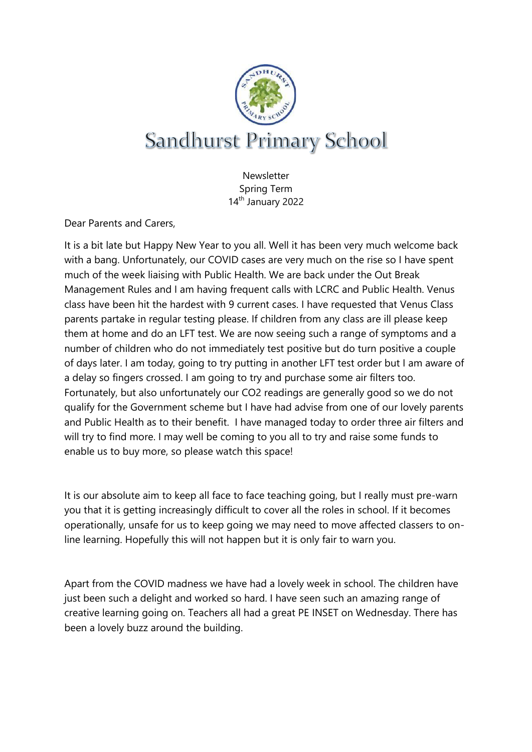

**Newsletter** Spring Term 14<sup>th</sup> January 2022

Dear Parents and Carers,

It is a bit late but Happy New Year to you all. Well it has been very much welcome back with a bang. Unfortunately, our COVID cases are very much on the rise so I have spent much of the week liaising with Public Health. We are back under the Out Break Management Rules and I am having frequent calls with LCRC and Public Health. Venus class have been hit the hardest with 9 current cases. I have requested that Venus Class parents partake in regular testing please. If children from any class are ill please keep them at home and do an LFT test. We are now seeing such a range of symptoms and a number of children who do not immediately test positive but do turn positive a couple of days later. I am today, going to try putting in another LFT test order but I am aware of a delay so fingers crossed. I am going to try and purchase some air filters too. Fortunately, but also unfortunately our CO2 readings are generally good so we do not qualify for the Government scheme but I have had advise from one of our lovely parents and Public Health as to their benefit. I have managed today to order three air filters and will try to find more. I may well be coming to you all to try and raise some funds to enable us to buy more, so please watch this space!

It is our absolute aim to keep all face to face teaching going, but I really must pre-warn you that it is getting increasingly difficult to cover all the roles in school. If it becomes operationally, unsafe for us to keep going we may need to move affected classers to online learning. Hopefully this will not happen but it is only fair to warn you.

Apart from the COVID madness we have had a lovely week in school. The children have just been such a delight and worked so hard. I have seen such an amazing range of creative learning going on. Teachers all had a great PE INSET on Wednesday. There has been a lovely buzz around the building.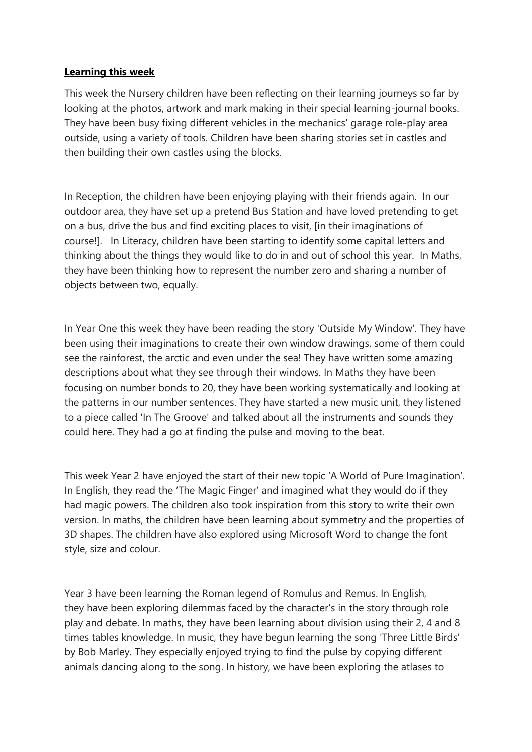### **Learning this week**

This week the Nursery children have been reflecting on their learning journeys so far by looking at the photos, artwork and mark making in their special learning-journal books. They have been busy fixing different vehicles in the mechanics' garage role-play area outside, using a variety of tools. Children have been sharing stories set in castles and then building their own castles using the blocks.

In Reception, the children have been enjoying playing with their friends again. In our outdoor area, they have set up a pretend Bus Station and have loved pretending to get on a bus, drive the bus and find exciting places to visit, [in their imaginations of course!]. In Literacy, children have been starting to identify some capital letters and thinking about the things they would like to do in and out of school this year. In Maths, they have been thinking how to represent the number zero and sharing a number of objects between two, equally.

In Year One this week they have been reading the story 'Outside My Window'. They have been using their imaginations to create their own window drawings, some of them could see the rainforest, the arctic and even under the sea! They have written some amazing descriptions about what they see through their windows. In Maths they have been focusing on number bonds to 20, they have been working systematically and looking at the patterns in our number sentences. They have started a new music unit, they listened to a piece called 'In The Groove' and talked about all the instruments and sounds they could here. They had a go at finding the pulse and moving to the beat.

This week Year 2 have enjoyed the start of their new topic 'A World of Pure Imagination'. In English, they read the 'The Magic Finger' and imagined what they would do if they had magic powers. The children also took inspiration from this story to write their own version. In maths, the children have been learning about symmetry and the properties of 3D shapes. The children have also explored using Microsoft Word to change the font style, size and colour.

Year 3 have been learning the Roman legend of Romulus and Remus. In English, they have been exploring dilemmas faced by the character's in the story through role play and debate. In maths, they have been learning about division using their 2, 4 and 8 times tables knowledge. In music, they have begun learning the song 'Three Little Birds' by Bob Marley. They especially enjoyed trying to find the pulse by copying different animals dancing along to the song. In history, we have been exploring the atlases to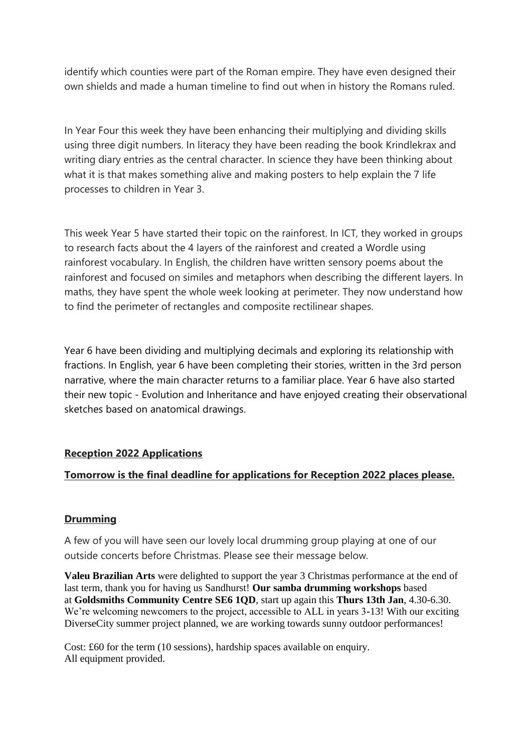identify which counties were part of the Roman empire. They have even designed their own shields and made a human timeline to find out when in history the Romans ruled.

In Year Four this week they have been enhancing their multiplying and dividing skills using three digit numbers. In literacy they have been reading the book Krindlekrax and writing diary entries as the central character. In science they have been thinking about what it is that makes something alive and making posters to help explain the 7 life processes to children in Year 3.

This week Year 5 have started their topic on the rainforest. In ICT, they worked in groups to research facts about the 4 layers of the rainforest and created a Wordle using rainforest vocabulary. In English, the children have written sensory poems about the rainforest and focused on similes and metaphors when describing the different layers. In maths, they have spent the whole week looking at perimeter. They now understand how to find the perimeter of rectangles and composite rectilinear shapes.

Year 6 have been dividing and multiplying decimals and exploring its relationship with fractions. In English, year 6 have been completing their stories, written in the 3rd person narrative, where the main character returns to a familiar place. Year 6 have also started their new topic - Evolution and Inheritance and have enjoyed creating their observational sketches based on anatomical drawings.

# **Reception 2022 Applications**

# **Tomorrow is the final deadline for applications for Reception 2022 places please.**

#### **Drumming**

A few of you will have seen our lovely local drumming group playing at one of our outside concerts before Christmas. Please see their message below.

**Valeu Brazilian Arts** were delighted to support the year 3 Christmas performance at the end of last term, thank you for having us Sandhurst! **Our samba drumming workshops** based at **Goldsmiths Community Centre SE6 1QD**, start up again this **Thurs 13th Jan**, 4.30-6.30. We're welcoming newcomers to the project, accessible to ALL in years 3-13! With our exciting DiverseCity summer project planned, we are working towards sunny outdoor performances!

Cost: £60 for the term (10 sessions), hardship spaces available on enquiry. All equipment provided.